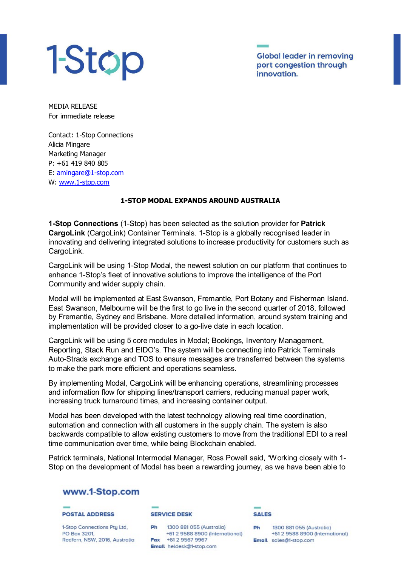# 1-Stop

**Global leader in removing** port congestion through innovation.

MEDIA RELEASE For immediate release

Contact: 1-Stop Connections Alicia Mingare Marketing Manager P: +61 419 840 805 E: [amingare@1-stop.com](mailto:amingare@1-stop.com) W: [www.1-stop.com](http://www.1-stop.com/)

## **1-STOP MODAL EXPANDS AROUND AUSTRALIA**

**1-Stop Connections** (1-Stop) has been selected as the solution provider for **Patrick CargoLink** (CargoLink) Container Terminals. 1-Stop is a globally recognised leader in innovating and delivering integrated solutions to increase productivity for customers such as CargoLink.

CargoLink will be using 1-Stop Modal, the newest solution on our platform that continues to enhance 1-Stop's fleet of innovative solutions to improve the intelligence of the Port Community and wider supply chain.

Modal will be implemented at East Swanson, Fremantle, Port Botany and Fisherman Island. East Swanson, Melbourne will be the first to go live in the second quarter of 2018, followed by Fremantle, Sydney and Brisbane. More detailed information, around system training and implementation will be provided closer to a go-live date in each location.

CargoLink will be using 5 core modules in Modal; Bookings, Inventory Management, Reporting, Stack Run and EIDO's. The system will be connecting into Patrick Terminals Auto-Strads exchange and TOS to ensure messages are transferred between the systems to make the park more efficient and operations seamless.

By implementing Modal, CargoLink will be enhancing operations, streamlining processes and information flow for shipping lines/transport carriers, reducing manual paper work, increasing truck turnaround times, and increasing container output.

Modal has been developed with the latest technology allowing real time coordination, automation and connection with all customers in the supply chain. The system is also backwards compatible to allow existing customers to move from the traditional EDI to a real time communication over time, while being Blockchain enabled.

Patrick terminals, National Intermodal Manager, Ross Powell said, "Working closely with 1- Stop on the development of Modal has been a rewarding journey, as we have been able to

# www.1-Stop.com

**POSTAL ADDRESS** 

1-Stop Connections Pty Ltd, PO Box 3201, Redfern, NSW, 2016, Australia **SERVICE DESK** 

Ph 1300 881 055 (Australia) +61 2 9588 8900 (International) Fax +61 2 9567 9967 Email heldesk@1-stop.com



Ph 1300 881 055 (Australia) +61 2 9588 8900 (International) Email sales@1-stop.com